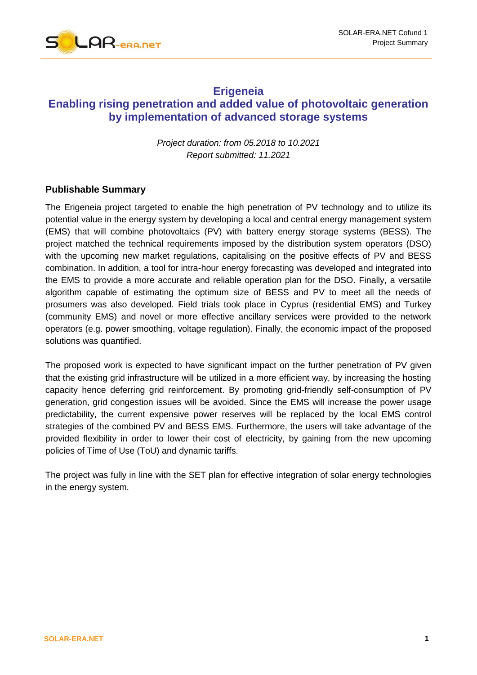

## **Erigeneia**

# **Enabling rising penetration and added value of photovoltaic generation by implementation of advanced storage systems**

*Project duration: from 05.2018 to 10.2021 Report submitted: 11.2021*

#### **Publishable Summary**

The Erigeneia project targeted to enable the high penetration of PV technology and to utilize its potential value in the energy system by developing a local and central energy management system (EMS) that will combine photovoltaics (PV) with battery energy storage systems (BESS). The project matched the technical requirements imposed by the distribution system operators (DSO) with the upcoming new market regulations, capitalising on the positive effects of PV and BESS combination. In addition, a tool for intra-hour energy forecasting was developed and integrated into the EMS to provide a more accurate and reliable operation plan for the DSO. Finally, a versatile algorithm capable of estimating the optimum size of BESS and PV to meet all the needs of prosumers was also developed. Field trials took place in Cyprus (residential EMS) and Turkey (community EMS) and novel or more effective ancillary services were provided to the network operators (e.g. power smoothing, voltage regulation). Finally, the economic impact of the proposed solutions was quantified.

The proposed work is expected to have significant impact on the further penetration of PV given that the existing grid infrastructure will be utilized in a more efficient way, by increasing the hosting capacity hence deferring grid reinforcement. By promoting grid-friendly self-consumption of PV generation, grid congestion issues will be avoided. Since the EMS will increase the power usage predictability, the current expensive power reserves will be replaced by the local EMS control strategies of the combined PV and BESS EMS. Furthermore, the users will take advantage of the provided flexibility in order to lower their cost of electricity, by gaining from the new upcoming policies of Time of Use (ToU) and dynamic tariffs.

The project was fully in line with the SET plan for effective integration of solar energy technologies in the energy system.